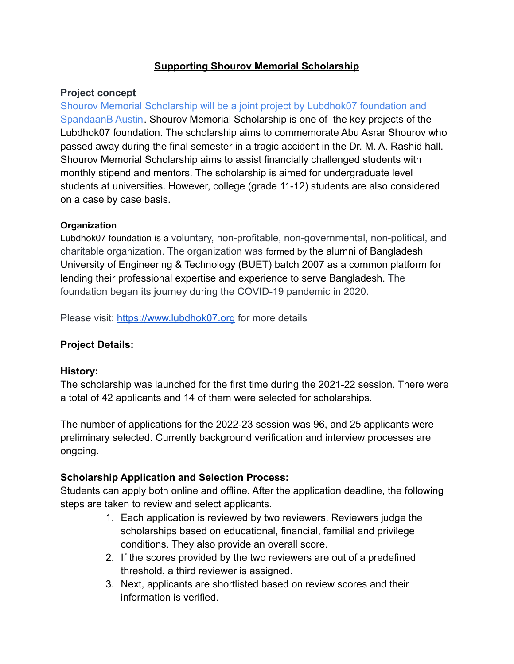## **Supporting Shourov Memorial Scholarship**

### **Project concept**

Shourov Memorial Scholarship will be a joint project by Lubdhok07 foundation and SpandaanB Austin. Shourov Memorial Scholarship is one of the key projects of the Lubdhok07 foundation. The scholarship aims to commemorate Abu Asrar Shourov who passed away during the final semester in a tragic accident in the Dr. M. A. Rashid hall. Shourov Memorial Scholarship aims to assist financially challenged students with monthly stipend and mentors. The scholarship is aimed for undergraduate level students at universities. However, college (grade 11-12) students are also considered on a case by case basis.

#### **Organization**

Lubdhok07 foundation is a voluntary, non-profitable, non-governmental, non-political, and charitable organization. The organization was formed by the alumni of Bangladesh University of Engineering & Technology (BUET) batch 2007 as a common platform for lending their professional expertise and experience to serve Bangladesh. The foundation began its journey during the COVID-19 pandemic in 2020.

Please visit: <https://www.lubdhok07.org> for more details

### **Project Details:**

### **History:**

The scholarship was launched for the first time during the 2021-22 session. There were a total of 42 applicants and 14 of them were selected for scholarships.

The number of applications for the 2022-23 session was 96, and 25 applicants were preliminary selected. Currently background verification and interview processes are ongoing.

### **Scholarship Application and Selection Process:**

Students can apply both online and offline. After the application deadline, the following steps are taken to review and select applicants.

- 1. Each application is reviewed by two reviewers. Reviewers judge the scholarships based on educational, financial, familial and privilege conditions. They also provide an overall score.
- 2. If the scores provided by the two reviewers are out of a predefined threshold, a third reviewer is assigned.
- 3. Next, applicants are shortlisted based on review scores and their information is verified.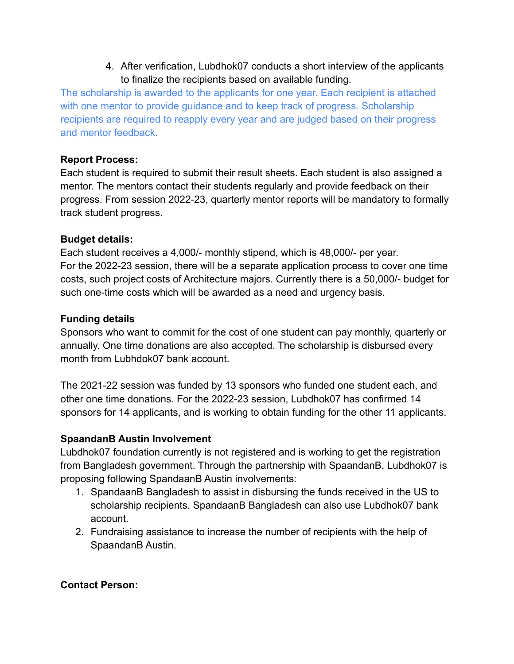4. After verification, Lubdhok07 conducts a short interview of the applicants to finalize the recipients based on available funding.

The scholarship is awarded to the applicants for one year. Each recipient is attached with one mentor to provide guidance and to keep track of progress. Scholarship recipients are required to reapply every year and are judged based on their progress and mentor feedback.

### **Report Process:**

Each student is required to submit their result sheets. Each student is also assigned a mentor. The mentors contact their students regularly and provide feedback on their progress. From session 2022-23, quarterly mentor reports will be mandatory to formally track student progress.

### **Budget details:**

Each student receives a 4,000/- monthly stipend, which is 48,000/- per year. For the 2022-23 session, there will be a separate application process to cover one time costs, such project costs of Architecture majors. Currently there is a 50,000/- budget for such one-time costs which will be awarded as a need and urgency basis.

### **Funding details**

Sponsors who want to commit for the cost of one student can pay monthly, quarterly or annually. One time donations are also accepted. The scholarship is disbursed every month from Lubhdok07 bank account.

The 2021-22 session was funded by 13 sponsors who funded one student each, and other one time donations. For the 2022-23 session, Lubdhok07 has confirmed 14 sponsors for 14 applicants, and is working to obtain funding for the other 11 applicants.

# **SpaandanB Austin Involvement**

Lubdhok07 foundation currently is not registered and is working to get the registration from Bangladesh government. Through the partnership with SpaandanB, Lubdhok07 is proposing following SpandaanB Austin involvements:

- 1. SpandaanB Bangladesh to assist in disbursing the funds received in the US to scholarship recipients. SpandaanB Bangladesh can also use Lubdhok07 bank account.
- 2. Fundraising assistance to increase the number of recipients with the help of SpaandanB Austin.

### **Contact Person:**